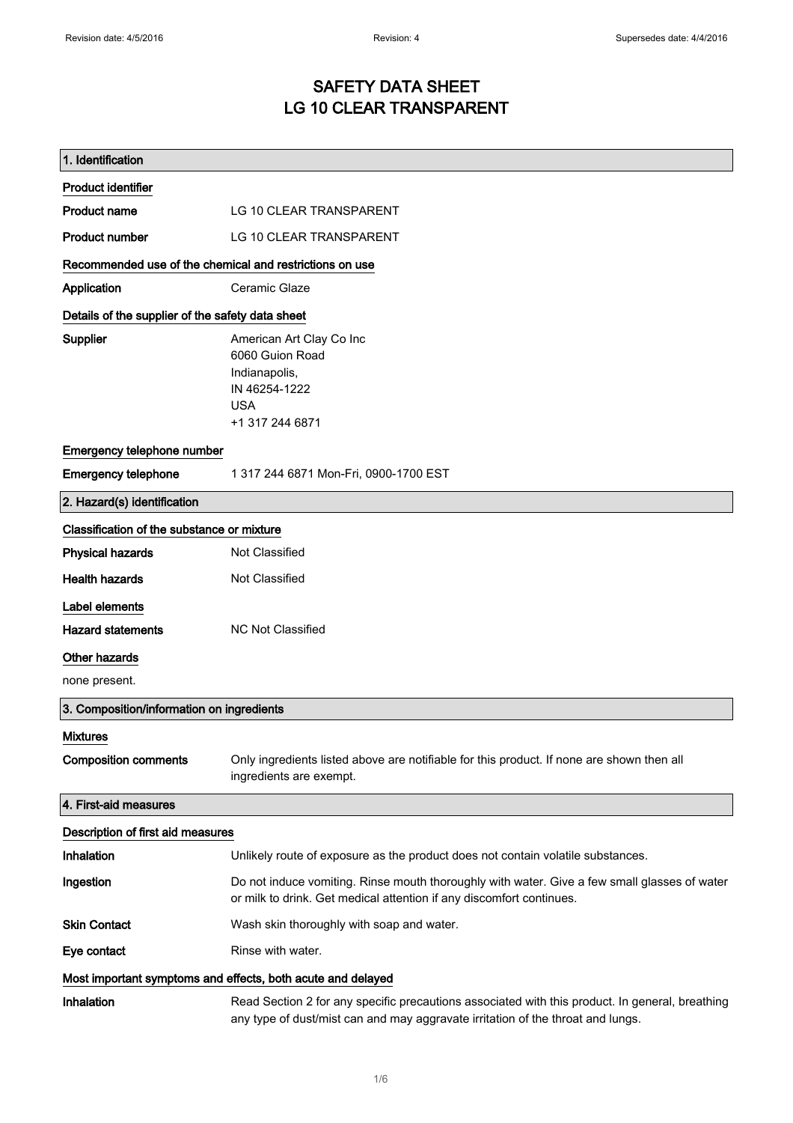# SAFETY DATA SHEET LG 10 CLEAR TRANSPARENT

| 1. Identification                                                            |                                                                                                                                                                                    |  |
|------------------------------------------------------------------------------|------------------------------------------------------------------------------------------------------------------------------------------------------------------------------------|--|
| <b>Product identifier</b>                                                    |                                                                                                                                                                                    |  |
| <b>Product name</b>                                                          | LG 10 CLEAR TRANSPARENT                                                                                                                                                            |  |
| <b>Product number</b>                                                        | LG 10 CLEAR TRANSPARENT                                                                                                                                                            |  |
| Recommended use of the chemical and restrictions on use                      |                                                                                                                                                                                    |  |
| Application                                                                  | Ceramic Glaze                                                                                                                                                                      |  |
| Details of the supplier of the safety data sheet                             |                                                                                                                                                                                    |  |
| <b>Supplier</b>                                                              | American Art Clay Co Inc<br>6060 Guion Road<br>Indianapolis,<br>IN 46254-1222<br><b>USA</b><br>+1 317 244 6871                                                                     |  |
| Emergency telephone number                                                   |                                                                                                                                                                                    |  |
| <b>Emergency telephone</b>                                                   | 1 317 244 6871 Mon-Fri, 0900-1700 EST                                                                                                                                              |  |
| 2. Hazard(s) identification                                                  |                                                                                                                                                                                    |  |
| Classification of the substance or mixture                                   |                                                                                                                                                                                    |  |
| <b>Physical hazards</b>                                                      | Not Classified                                                                                                                                                                     |  |
| <b>Health hazards</b>                                                        | Not Classified                                                                                                                                                                     |  |
| Label elements<br><b>Hazard statements</b><br>Other hazards<br>none present. | <b>NC Not Classified</b>                                                                                                                                                           |  |
| 3. Composition/information on ingredients                                    |                                                                                                                                                                                    |  |
| <b>Mixtures</b>                                                              |                                                                                                                                                                                    |  |
| <b>Composition comments</b>                                                  | Only ingredients listed above are notifiable for this product. If none are shown then all<br>ingredients are exempt.                                                               |  |
| 4. First-aid measures                                                        |                                                                                                                                                                                    |  |
| Description of first aid measures                                            |                                                                                                                                                                                    |  |
| Inhalation                                                                   | Unlikely route of exposure as the product does not contain volatile substances.                                                                                                    |  |
| Ingestion                                                                    | Do not induce vomiting. Rinse mouth thoroughly with water. Give a few small glasses of water<br>or milk to drink. Get medical attention if any discomfort continues.               |  |
| <b>Skin Contact</b>                                                          | Wash skin thoroughly with soap and water.                                                                                                                                          |  |
| Eye contact                                                                  | Rinse with water.                                                                                                                                                                  |  |
| Most important symptoms and effects, both acute and delayed                  |                                                                                                                                                                                    |  |
| Inhalation                                                                   | Read Section 2 for any specific precautions associated with this product. In general, breathing<br>any type of dust/mist can and may aggravate irritation of the throat and lungs. |  |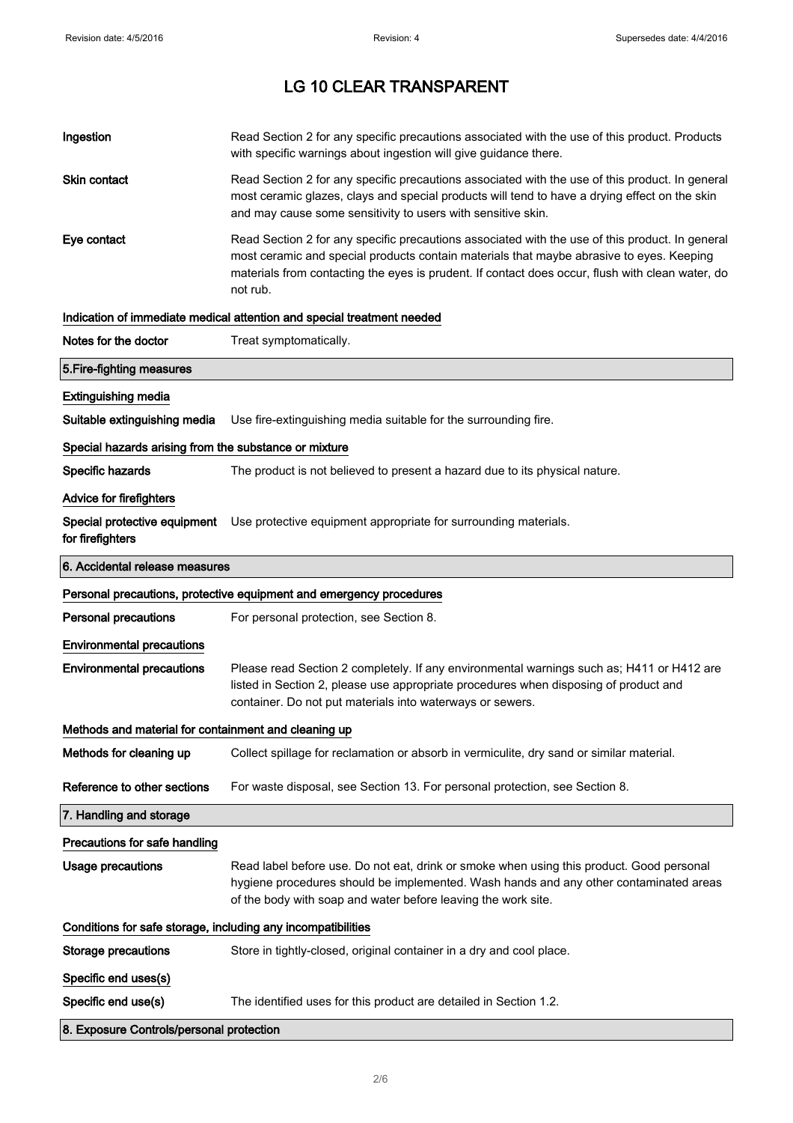| Ingestion                                                           | Read Section 2 for any specific precautions associated with the use of this product. Products<br>with specific warnings about ingestion will give guidance there.                                                                                                                                           |  |
|---------------------------------------------------------------------|-------------------------------------------------------------------------------------------------------------------------------------------------------------------------------------------------------------------------------------------------------------------------------------------------------------|--|
| Skin contact                                                        | Read Section 2 for any specific precautions associated with the use of this product. In general<br>most ceramic glazes, clays and special products will tend to have a drying effect on the skin<br>and may cause some sensitivity to users with sensitive skin.                                            |  |
| Eye contact                                                         | Read Section 2 for any specific precautions associated with the use of this product. In general<br>most ceramic and special products contain materials that maybe abrasive to eyes. Keeping<br>materials from contacting the eyes is prudent. If contact does occur, flush with clean water, do<br>not rub. |  |
|                                                                     | Indication of immediate medical attention and special treatment needed                                                                                                                                                                                                                                      |  |
| Notes for the doctor                                                | Treat symptomatically.                                                                                                                                                                                                                                                                                      |  |
| 5. Fire-fighting measures                                           |                                                                                                                                                                                                                                                                                                             |  |
| <b>Extinguishing media</b>                                          |                                                                                                                                                                                                                                                                                                             |  |
| Suitable extinguishing media                                        | Use fire-extinguishing media suitable for the surrounding fire.                                                                                                                                                                                                                                             |  |
| Special hazards arising from the substance or mixture               |                                                                                                                                                                                                                                                                                                             |  |
| Specific hazards                                                    | The product is not believed to present a hazard due to its physical nature.                                                                                                                                                                                                                                 |  |
| Advice for firefighters                                             |                                                                                                                                                                                                                                                                                                             |  |
| for firefighters                                                    | Special protective equipment Use protective equipment appropriate for surrounding materials.                                                                                                                                                                                                                |  |
| 6. Accidental release measures                                      |                                                                                                                                                                                                                                                                                                             |  |
| Personal precautions, protective equipment and emergency procedures |                                                                                                                                                                                                                                                                                                             |  |
|                                                                     |                                                                                                                                                                                                                                                                                                             |  |
| <b>Personal precautions</b>                                         | For personal protection, see Section 8.                                                                                                                                                                                                                                                                     |  |
| <b>Environmental precautions</b>                                    |                                                                                                                                                                                                                                                                                                             |  |
| <b>Environmental precautions</b>                                    | Please read Section 2 completely. If any environmental warnings such as; H411 or H412 are<br>listed in Section 2, please use appropriate procedures when disposing of product and<br>container. Do not put materials into waterways or sewers.                                                              |  |
| Methods and material for containment and cleaning up                |                                                                                                                                                                                                                                                                                                             |  |
| Methods for cleaning up                                             | Collect spillage for reclamation or absorb in vermiculite, dry sand or similar material.                                                                                                                                                                                                                    |  |
| Reference to other sections                                         | For waste disposal, see Section 13. For personal protection, see Section 8.                                                                                                                                                                                                                                 |  |
| 7. Handling and storage                                             |                                                                                                                                                                                                                                                                                                             |  |
| Precautions for safe handling                                       |                                                                                                                                                                                                                                                                                                             |  |
| <b>Usage precautions</b>                                            | Read label before use. Do not eat, drink or smoke when using this product. Good personal                                                                                                                                                                                                                    |  |
|                                                                     | hygiene procedures should be implemented. Wash hands and any other contaminated areas<br>of the body with soap and water before leaving the work site.                                                                                                                                                      |  |
| Conditions for safe storage, including any incompatibilities        |                                                                                                                                                                                                                                                                                                             |  |
| Storage precautions                                                 | Store in tightly-closed, original container in a dry and cool place.                                                                                                                                                                                                                                        |  |
| Specific end uses(s)                                                |                                                                                                                                                                                                                                                                                                             |  |
| Specific end use(s)                                                 | The identified uses for this product are detailed in Section 1.2.                                                                                                                                                                                                                                           |  |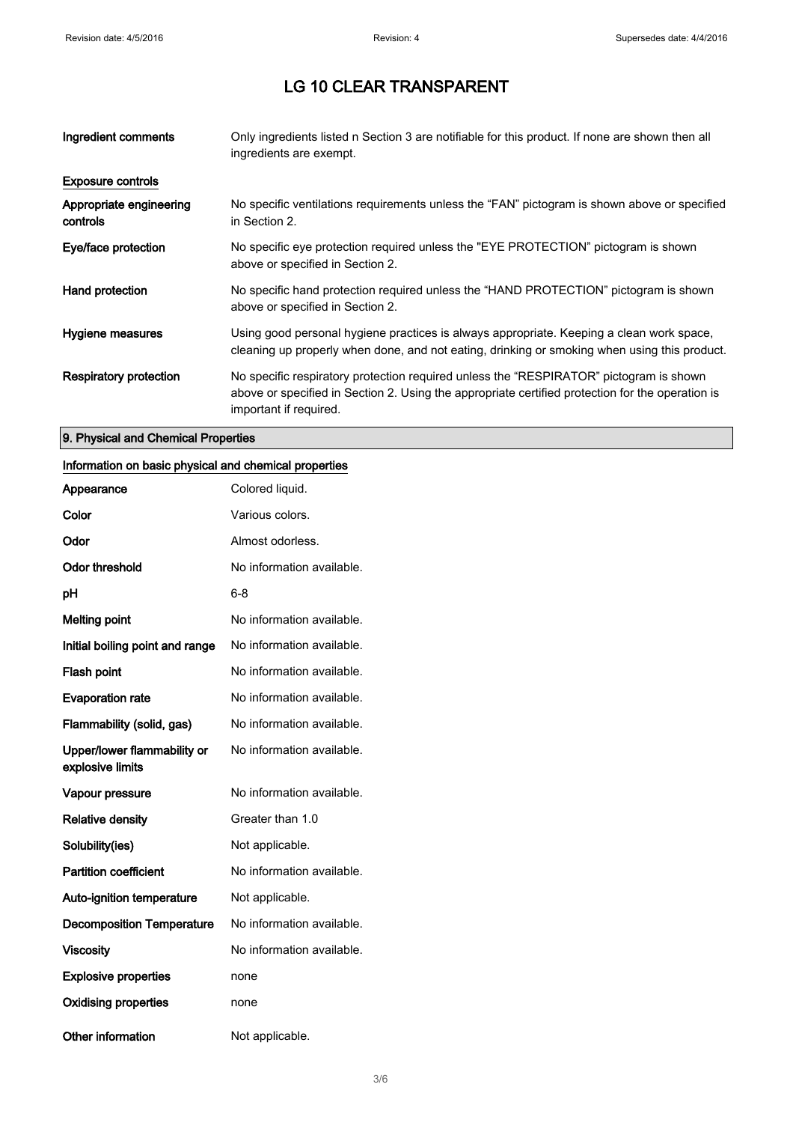| Ingredient comments                 | Only ingredients listed n Section 3 are notifiable for this product. If none are shown then all<br>ingredients are exempt.                                                                                           |
|-------------------------------------|----------------------------------------------------------------------------------------------------------------------------------------------------------------------------------------------------------------------|
| <b>Exposure controls</b>            |                                                                                                                                                                                                                      |
| Appropriate engineering<br>controls | No specific ventilations requirements unless the "FAN" pictogram is shown above or specified<br>in Section 2.                                                                                                        |
| Eye/face protection                 | No specific eye protection required unless the "EYE PROTECTION" pictogram is shown<br>above or specified in Section 2.                                                                                               |
| Hand protection                     | No specific hand protection required unless the "HAND PROTECTION" pictogram is shown<br>above or specified in Section 2.                                                                                             |
| Hygiene measures                    | Using good personal hygiene practices is always appropriate. Keeping a clean work space,<br>cleaning up properly when done, and not eating, drinking or smoking when using this product.                             |
| <b>Respiratory protection</b>       | No specific respiratory protection required unless the "RESPIRATOR" pictogram is shown<br>above or specified in Section 2. Using the appropriate certified protection for the operation is<br>important if required. |

# 9. Physical and Chemical Properties

# Information on basic physical and chemical properties

| Appearance                                      | Colored liquid.           |
|-------------------------------------------------|---------------------------|
| Color                                           | Various colors.           |
| Odor                                            | Almost odorless.          |
| <b>Odor threshold</b>                           | No information available. |
| рH                                              | 6-8                       |
| <b>Melting point</b>                            | No information available. |
| Initial boiling point and range                 | No information available. |
| Flash point                                     | No information available. |
| <b>Evaporation rate</b>                         | No information available. |
| Flammability (solid, gas)                       | No information available. |
| Upper/lower flammability or<br>explosive limits | No information available. |
| Vapour pressure                                 | No information available. |
| <b>Relative density</b>                         | Greater than 1.0          |
| Solubility(ies)                                 | Not applicable.           |
| <b>Partition coefficient</b>                    | No information available. |
| <b>Auto-ignition temperature</b>                | Not applicable.           |
| <b>Decomposition Temperature</b>                | No information available. |
| <b>Viscosity</b>                                | No information available. |
| <b>Explosive properties</b>                     | none                      |
| <b>Oxidising properties</b>                     | none                      |
| <b>Other information</b>                        | Not applicable.           |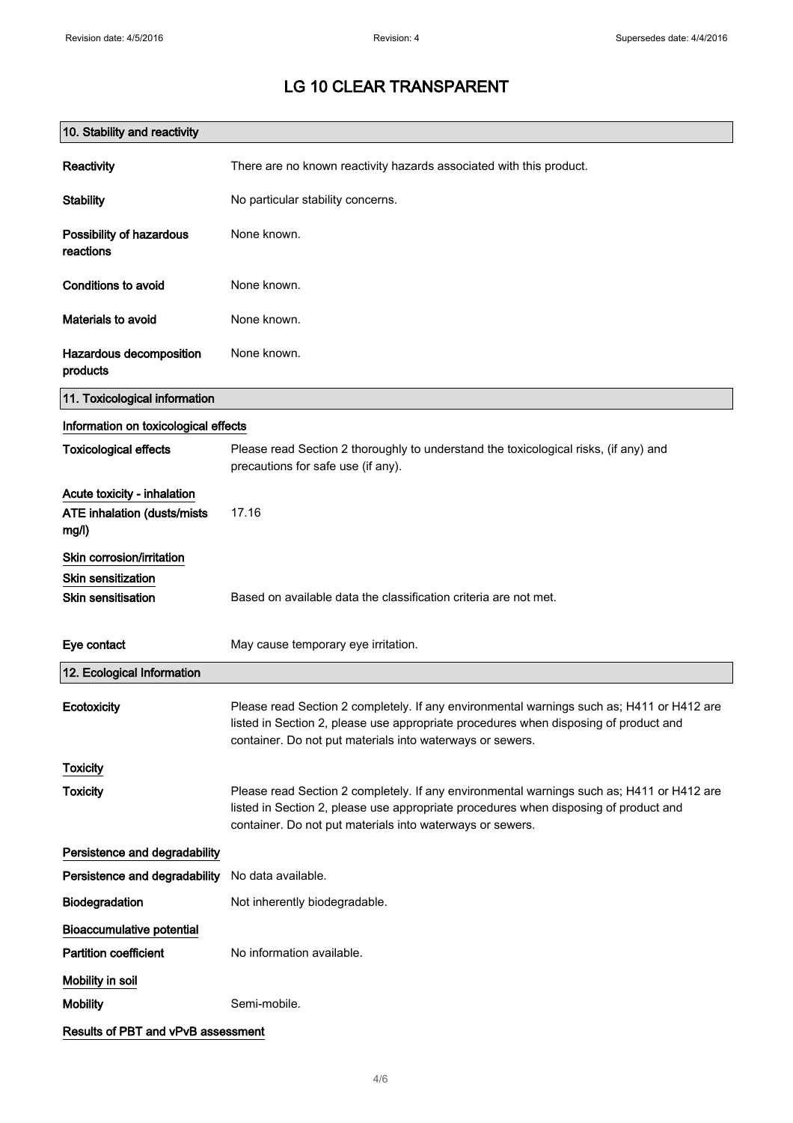| 10. Stability and reactivity                                        |                                                                                                                                                                                                                                                |
|---------------------------------------------------------------------|------------------------------------------------------------------------------------------------------------------------------------------------------------------------------------------------------------------------------------------------|
| Reactivity                                                          | There are no known reactivity hazards associated with this product.                                                                                                                                                                            |
| <b>Stability</b>                                                    | No particular stability concerns.                                                                                                                                                                                                              |
| Possibility of hazardous<br>reactions                               | None known.                                                                                                                                                                                                                                    |
| <b>Conditions to avoid</b>                                          | None known.                                                                                                                                                                                                                                    |
| Materials to avoid                                                  | None known.                                                                                                                                                                                                                                    |
| Hazardous decomposition<br>products                                 | None known.                                                                                                                                                                                                                                    |
| 11. Toxicological information                                       |                                                                                                                                                                                                                                                |
| Information on toxicological effects                                |                                                                                                                                                                                                                                                |
| <b>Toxicological effects</b>                                        | Please read Section 2 thoroughly to understand the toxicological risks, (if any) and<br>precautions for safe use (if any).                                                                                                                     |
| Acute toxicity - inhalation<br>ATE inhalation (dusts/mists<br>mg/l) | 17.16                                                                                                                                                                                                                                          |
| Skin corrosion/irritation                                           |                                                                                                                                                                                                                                                |
| <b>Skin sensitization</b>                                           |                                                                                                                                                                                                                                                |
| <b>Skin sensitisation</b>                                           | Based on available data the classification criteria are not met.                                                                                                                                                                               |
| Eye contact                                                         | May cause temporary eye irritation.                                                                                                                                                                                                            |
| 12. Ecological Information                                          |                                                                                                                                                                                                                                                |
| Ecotoxicity                                                         | Please read Section 2 completely. If any environmental warnings such as; H411 or H412 are<br>listed in Section 2, please use appropriate procedures when disposing of product and<br>container. Do not put materials into waterways or sewers. |
| <b>Toxicity</b>                                                     |                                                                                                                                                                                                                                                |
| <b>Toxicity</b>                                                     | Please read Section 2 completely. If any environmental warnings such as; H411 or H412 are<br>listed in Section 2, please use appropriate procedures when disposing of product and<br>container. Do not put materials into waterways or sewers. |
| Persistence and degradability                                       |                                                                                                                                                                                                                                                |
| Persistence and degradability                                       | No data available.                                                                                                                                                                                                                             |
| <b>Biodegradation</b>                                               | Not inherently biodegradable.                                                                                                                                                                                                                  |
| <b>Bioaccumulative potential</b>                                    |                                                                                                                                                                                                                                                |
| <b>Partition coefficient</b>                                        | No information available.                                                                                                                                                                                                                      |
| Mobility in soil                                                    |                                                                                                                                                                                                                                                |
| <b>Mobility</b>                                                     | Semi-mobile.                                                                                                                                                                                                                                   |
| Results of PBT and vPvB assessment                                  |                                                                                                                                                                                                                                                |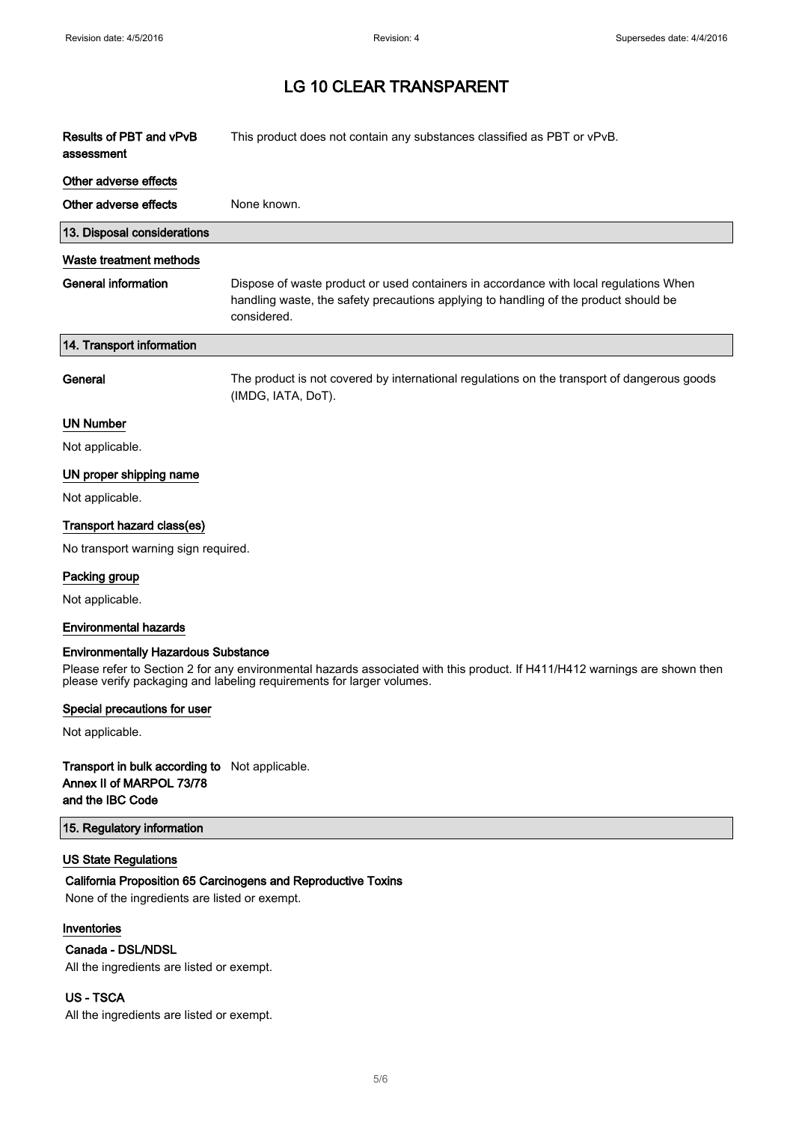$\overline{\phantom{a}}$ 

# LG 10 CLEAR TRANSPARENT

| Results of PBT and vPvB<br>assessment | This product does not contain any substances classified as PBT or vPvB.                                                                                                                      |
|---------------------------------------|----------------------------------------------------------------------------------------------------------------------------------------------------------------------------------------------|
| Other adverse effects                 |                                                                                                                                                                                              |
| Other adverse effects                 | None known.                                                                                                                                                                                  |
| 13. Disposal considerations           |                                                                                                                                                                                              |
| Waste treatment methods               |                                                                                                                                                                                              |
| <b>General information</b>            | Dispose of waste product or used containers in accordance with local regulations When<br>handling waste, the safety precautions applying to handling of the product should be<br>considered. |
| 14. Transport information             |                                                                                                                                                                                              |
| General                               | The product is not covered by international regulations on the transport of dangerous goods<br>(IMDG, IATA, DoT).                                                                            |
| <b>UN Number</b>                      |                                                                                                                                                                                              |
| Not applicable.                       |                                                                                                                                                                                              |
| UN proper shipping name               |                                                                                                                                                                                              |
| Not applicable.                       |                                                                                                                                                                                              |
| Transport hazard class(es)            |                                                                                                                                                                                              |
| No transport warning sign required.   |                                                                                                                                                                                              |
| Packing group                         |                                                                                                                                                                                              |
| Not applicable.                       |                                                                                                                                                                                              |
| <b>Environmental hazards</b>          |                                                                                                                                                                                              |

### Environmentally Hazardous Substance

Please refer to Section 2 for any environmental hazards associated with this product. If H411/H412 warnings are shown then please verify packaging and labeling requirements for larger volumes.

### Special precautions for user

Not applicable.

## Transport in bulk according to Not applicable. Annex II of MARPOL 73/78 and the IBC Code

### 15. Regulatory information

## US State Regulations

### California Proposition 65 Carcinogens and Reproductive Toxins

None of the ingredients are listed or exempt.

# Inventories

#### Canada - DSL/NDSL

All the ingredients are listed or exempt.

### US - TSCA

All the ingredients are listed or exempt.